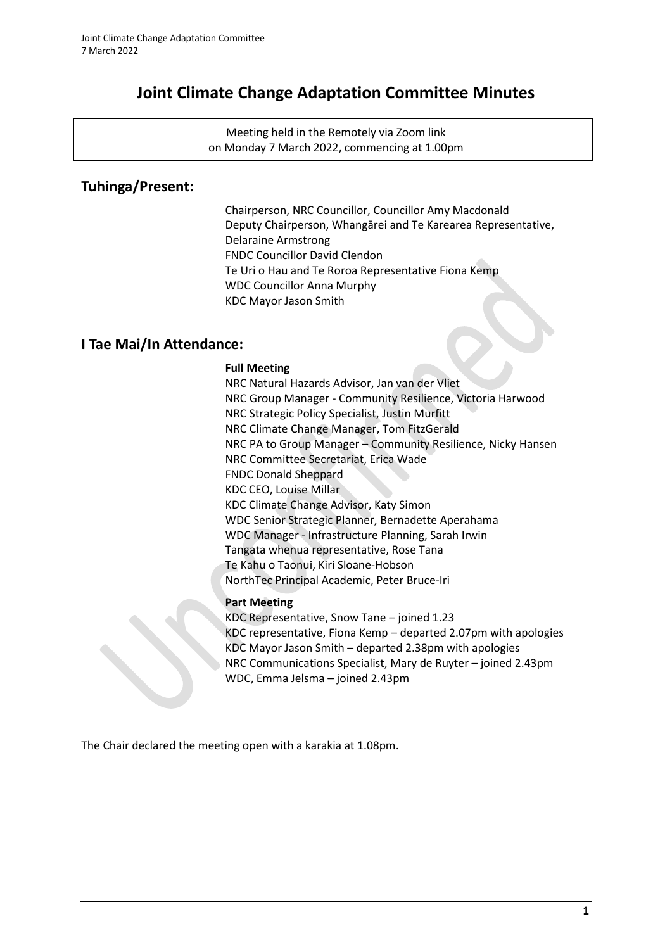# **Joint Climate Change Adaptation Committee Minutes**

Meeting held in the Remotely via Zoom link on Monday 7 March 2022, commencing at 1.00pm

# **Tuhinga/Present:**

Chairperson, NRC Councillor, Councillor Amy Macdonald Deputy Chairperson, Whangārei and Te Karearea Representative, Delaraine Armstrong FNDC Councillor David Clendon Te Uri o Hau and Te Roroa Representative Fiona Kemp WDC Councillor Anna Murphy KDC Mayor Jason Smith

# **I Tae Mai/In Attendance:**

### **Full Meeting**

NRC Natural Hazards Advisor, Jan van der Vliet NRC Group Manager - Community Resilience, Victoria Harwood NRC Strategic Policy Specialist, Justin Murfitt NRC Climate Change Manager, Tom FitzGerald NRC PA to Group Manager – Community Resilience, Nicky Hansen NRC Committee Secretariat, Erica Wade FNDC Donald Sheppard KDC CEO, Louise Millar KDC Climate Change Advisor, Katy Simon WDC Senior Strategic Planner, Bernadette Aperahama WDC Manager - Infrastructure Planning, Sarah Irwin Tangata whenua representative, Rose Tana Te Kahu o Taonui, Kiri Sloane-Hobson NorthTec Principal Academic, Peter Bruce-Iri

## **Part Meeting**

KDC Representative, Snow Tane – joined 1.23 KDC representative, Fiona Kemp – departed 2.07pm with apologies KDC Mayor Jason Smith – departed 2.38pm with apologies NRC Communications Specialist, Mary de Ruyter – joined 2.43pm WDC, Emma Jelsma – joined 2.43pm

The Chair declared the meeting open with a karakia at 1.08pm.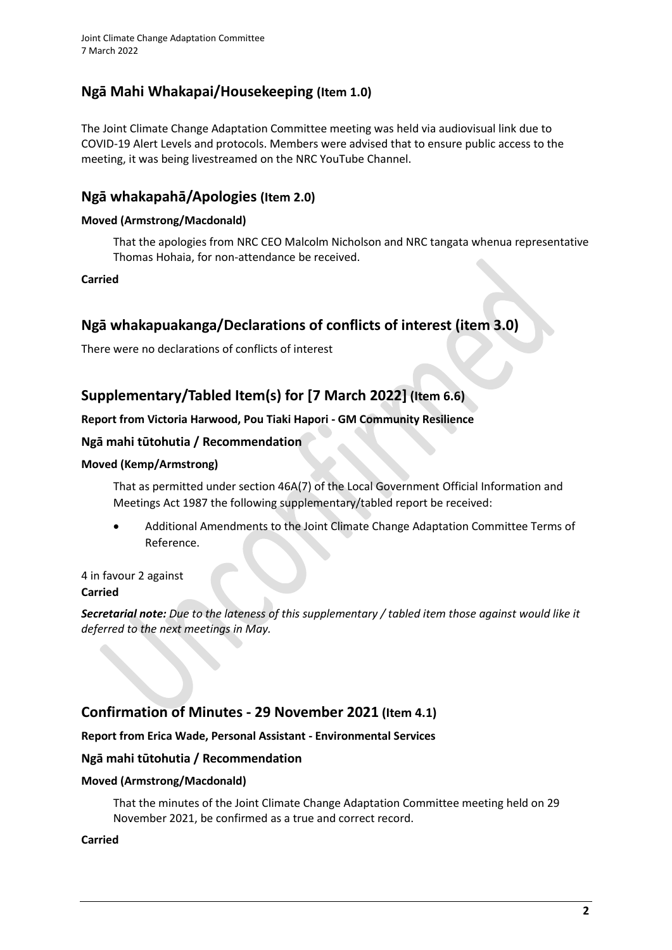# **Ngā Mahi Whakapai/Housekeeping (Item 1.0)**

The Joint Climate Change Adaptation Committee meeting was held via audiovisual link due to COVID-19 Alert Levels and protocols. Members were advised that to ensure public access to the meeting, it was being livestreamed on the NRC YouTube Channel.

# **Ngā whakapahā/Apologies (Item 2.0)**

## **Moved (Armstrong/Macdonald)**

That the apologies from NRC CEO Malcolm Nicholson and NRC tangata whenua representative Thomas Hohaia, for non-attendance be received.

**Carried**

# **Ngā whakapuakanga/Declarations of conflicts of interest (item 3.0)**

There were no declarations of conflicts of interest

# **Supplementary/Tabled Item(s) for [7 March 2022] (Item 6.6)**

## **Report from Victoria Harwood, Pou Tiaki Hapori - GM Community Resilience**

## **Ngā mahi tūtohutia / Recommendation**

## **Moved (Kemp/Armstrong)**

That as permitted under section 46A(7) of the Local Government Official Information and Meetings Act 1987 the following supplementary/tabled report be received:

• Additional Amendments to the Joint Climate Change Adaptation Committee Terms of Reference.

4 in favour 2 against **Carried**

*Secretarial note: Due to the lateness of this supplementary / tabled item those against would like it deferred to the next meetings in May.*

# **Confirmation of Minutes - 29 November 2021 (Item 4.1)**

## **Report from Erica Wade, Personal Assistant - Environmental Services**

## **Ngā mahi tūtohutia / Recommendation**

#### **Moved (Armstrong/Macdonald)**

That the minutes of the Joint Climate Change Adaptation Committee meeting held on 29 November 2021, be confirmed as a true and correct record.

#### **Carried**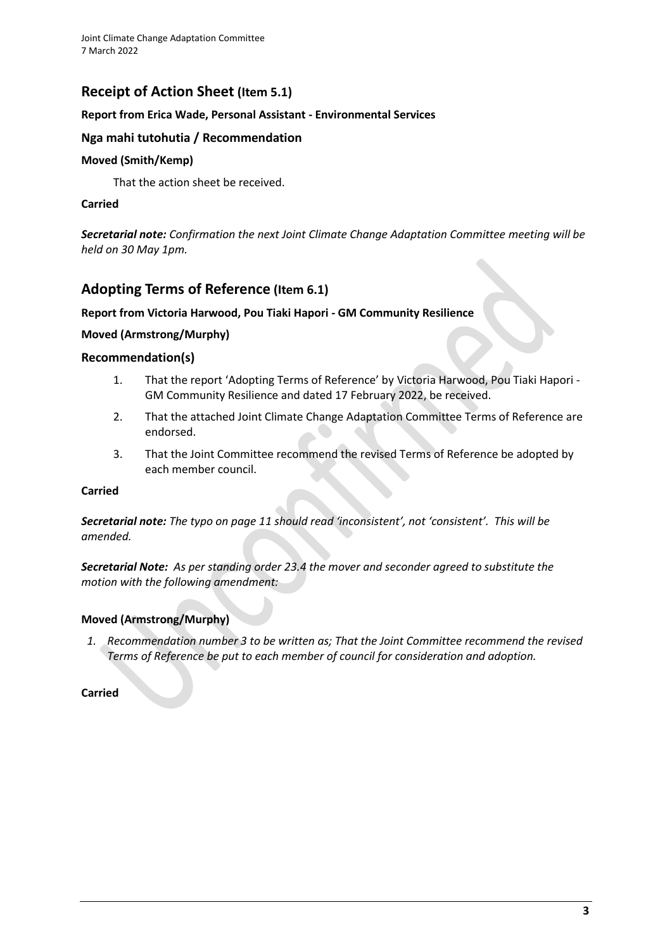# **Receipt of Action Sheet (Item 5.1)**

### **Report from Erica Wade, Personal Assistant - Environmental Services**

### **Nga mahi tutohutia / Recommendation**

### **Moved (Smith/Kemp)**

That the action sheet be received.

### **Carried**

*Secretarial note: Confirmation the next Joint Climate Change Adaptation Committee meeting will be held on 30 May 1pm.*

## **Adopting Terms of Reference (Item 6.1)**

### **Report from Victoria Harwood, Pou Tiaki Hapori - GM Community Resilience**

### **Moved (Armstrong/Murphy)**

### **Recommendation(s)**

- 1. That the report 'Adopting Terms of Reference' by Victoria Harwood, Pou Tiaki Hapori GM Community Resilience and dated 17 February 2022, be received.
- 2. That the attached Joint Climate Change Adaptation Committee Terms of Reference are endorsed.
- 3. That the Joint Committee recommend the revised Terms of Reference be adopted by each member council.

#### **Carried**

*Secretarial note: The typo on page 11 should read 'inconsistent', not 'consistent'. This will be amended.*

*Secretarial Note: As per standing order 23.4 the mover and seconder agreed to substitute the motion with the following amendment:*

#### **Moved (Armstrong/Murphy)**

*1. Recommendation number 3 to be written as; That the Joint Committee recommend the revised Terms of Reference be put to each member of council for consideration and adoption.*

#### **Carried**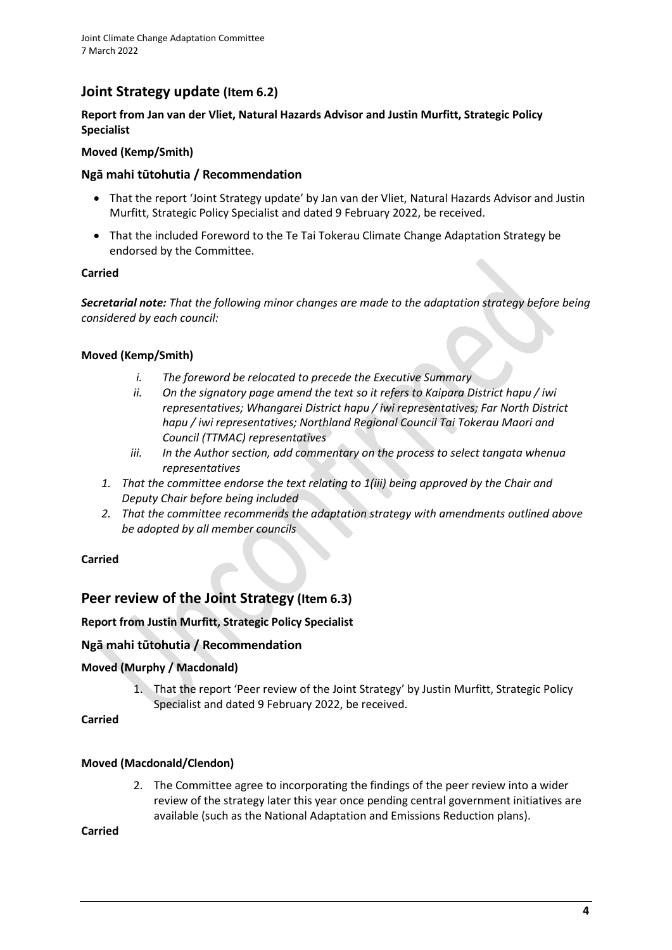# **Joint Strategy update (Item 6.2)**

## **Report from Jan van der Vliet, Natural Hazards Advisor and Justin Murfitt, Strategic Policy Specialist**

### **Moved (Kemp/Smith)**

## **Ngā mahi tūtohutia / Recommendation**

- That the report 'Joint Strategy update' by Jan van der Vliet, Natural Hazards Advisor and Justin Murfitt, Strategic Policy Specialist and dated 9 February 2022, be received.
- That the included Foreword to the Te Tai Tokerau Climate Change Adaptation Strategy be endorsed by the Committee.

### **Carried**

*Secretarial note: That the following minor changes are made to the adaptation strategy before being considered by each council:*

## **Moved (Kemp/Smith)**

- *i. The foreword be relocated to precede the Executive Summary*
- *ii. On the signatory page amend the text so it refers to Kaipara District hapu / iwi representatives; Whangarei District hapu / iwi representatives; Far North District hapu / iwi representatives; Northland Regional Council Tai Tokerau Maori and Council (TTMAC) representatives*
- *iii. In the Author section, add commentary on the process to select tangata whenua representatives*
- *1. That the committee endorse the text relating to 1(iii) being approved by the Chair and Deputy Chair before being included*
- *2. That the committee recommends the adaptation strategy with amendments outlined above be adopted by all member councils*

## **Carried**

# **Peer review of the Joint Strategy (Item 6.3)**

## **Report from Justin Murfitt, Strategic Policy Specialist**

## **Ngā mahi tūtohutia / Recommendation**

## **Moved (Murphy / Macdonald)**

1. That the report 'Peer review of the Joint Strategy' by Justin Murfitt, Strategic Policy Specialist and dated 9 February 2022, be received.

**Carried**

## **Moved (Macdonald/Clendon)**

2. The Committee agree to incorporating the findings of the peer review into a wider review of the strategy later this year once pending central government initiatives are available (such as the National Adaptation and Emissions Reduction plans).

**Carried**